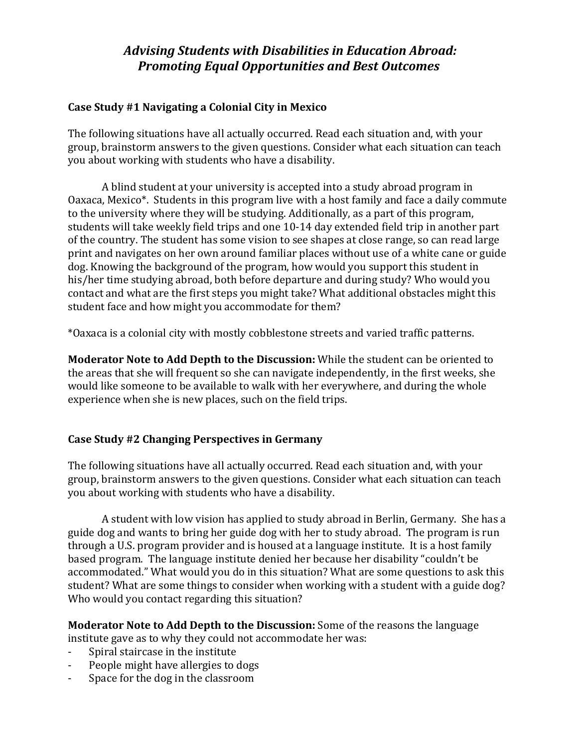### **Case Study #1 Navigating a Colonial City in Mexico**

The following situations have all actually occurred. Read each situation and, with your group, brainstorm answers to the given questions. Consider what each situation can teach you about working with students who have a disability.

A blind student at your university is accepted into a study abroad program in Oaxaca, Mexico\*. Students in this program live with a host family and face a daily commute to the university where they will be studying. Additionally, as a part of this program, students will take weekly field trips and one 10-14 day extended field trip in another part of the country. The student has some vision to see shapes at close range, so can read large print and navigates on her own around familiar places without use of a white cane or guide dog. Knowing the background of the program, how would you support this student in his/her time studying abroad, both before departure and during study? Who would you contact and what are the first steps you might take? What additional obstacles might this student face and how might you accommodate for them?

\*Oaxaca is a colonial city with mostly cobblestone streets and varied traffic patterns.

**Moderator Note to Add Depth to the Discussion:** While the student can be oriented to the areas that she will frequent so she can navigate independently, in the first weeks, she would like someone to be available to walk with her everywhere, and during the whole experience when she is new places, such on the field trips.

### **Case Study #2 Changing Perspectives in Germany**

The following situations have all actually occurred. Read each situation and, with your group, brainstorm answers to the given questions. Consider what each situation can teach you about working with students who have a disability.

A student with low vision has applied to study abroad in Berlin, Germany. She has a guide dog and wants to bring her guide dog with her to study abroad. The program is run through a U.S. program provider and is housed at a language institute. It is a host family based program. The language institute denied her because her disability "couldn't be accommodated." What would you do in this situation? What are some questions to ask this student? What are some things to consider when working with a student with a guide dog? Who would you contact regarding this situation?

**Moderator Note to Add Depth to the Discussion:** Some of the reasons the language institute gave as to why they could not accommodate her was:

- Spiral staircase in the institute
- People might have allergies to dogs
- Space for the dog in the classroom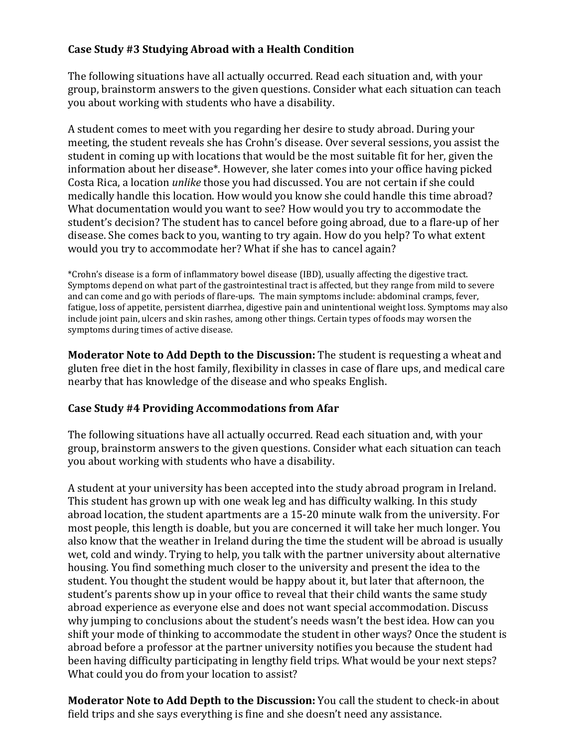### **Case Study #3 Studying Abroad with a Health Condition**

The following situations have all actually occurred. Read each situation and, with your group, brainstorm answers to the given questions. Consider what each situation can teach you about working with students who have a disability.

A student comes to meet with you regarding her desire to study abroad. During your meeting, the student reveals she has Crohn's disease. Over several sessions, you assist the student in coming up with locations that would be the most suitable fit for her, given the information about her disease\*. However, she later comes into your office having picked Costa Rica, a location *unlike* those you had discussed. You are not certain if she could medically handle this location. How would you know she could handle this time abroad? What documentation would you want to see? How would you try to accommodate the student's decision? The student has to cancel before going abroad, due to a flare-up of her disease. She comes back to you, wanting to try again. How do you help? To what extent would you try to accommodate her? What if she has to cancel again?

\*Crohn's disease is a form of inflammatory bowel disease (IBD), usually affecting the digestive tract. Symptoms depend on what part of the gastrointestinal tract is affected, but they range from mild to severe and can come and go with periods of flare-ups. The main symptoms include: abdominal cramps, fever, fatigue, loss of appetite, persistent diarrhea, digestive pain and unintentional weight loss. Symptoms may also include joint pain, ulcers and skin rashes, among other things. Certain types of foods may worsen the symptoms during times of active disease.

**Moderator Note to Add Depth to the Discussion:** The student is requesting a wheat and gluten free diet in the host family, flexibility in classes in case of flare ups, and medical care nearby that has knowledge of the disease and who speaks English.

### **Case Study #4 Providing Accommodations from Afar**

The following situations have all actually occurred. Read each situation and, with your group, brainstorm answers to the given questions. Consider what each situation can teach you about working with students who have a disability.

A student at your university has been accepted into the study abroad program in Ireland. This student has grown up with one weak leg and has difficulty walking. In this study abroad location, the student apartments are a 15-20 minute walk from the university. For most people, this length is doable, but you are concerned it will take her much longer. You also know that the weather in Ireland during the time the student will be abroad is usually wet, cold and windy. Trying to help, you talk with the partner university about alternative housing. You find something much closer to the university and present the idea to the student. You thought the student would be happy about it, but later that afternoon, the student's parents show up in your office to reveal that their child wants the same study abroad experience as everyone else and does not want special accommodation. Discuss why jumping to conclusions about the student's needs wasn't the best idea. How can you shift your mode of thinking to accommodate the student in other ways? Once the student is abroad before a professor at the partner university notifies you because the student had been having difficulty participating in lengthy field trips. What would be your next steps? What could you do from your location to assist?

**Moderator Note to Add Depth to the Discussion:** You call the student to check-in about field trips and she says everything is fine and she doesn't need any assistance.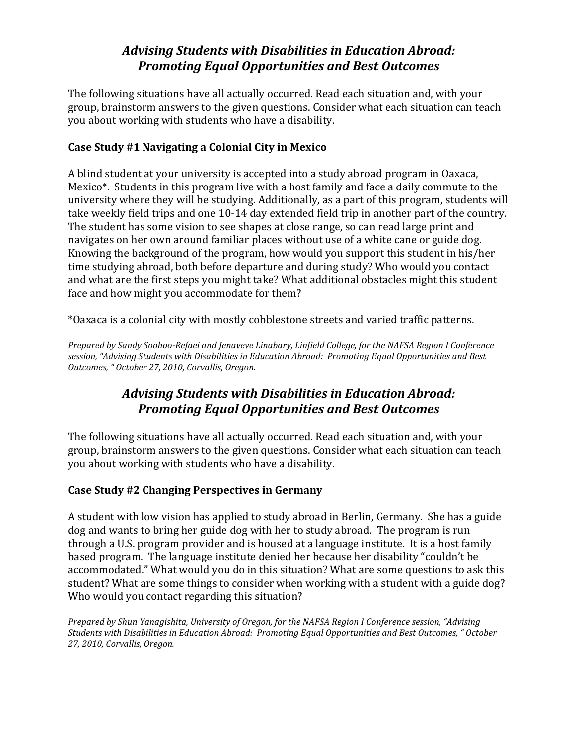The following situations have all actually occurred. Read each situation and, with your group, brainstorm answers to the given questions. Consider what each situation can teach you about working with students who have a disability.

### **Case Study #1 Navigating a Colonial City in Mexico**

A blind student at your university is accepted into a study abroad program in Oaxaca, Mexico\*. Students in this program live with a host family and face a daily commute to the university where they will be studying. Additionally, as a part of this program, students will take weekly field trips and one 10-14 day extended field trip in another part of the country. The student has some vision to see shapes at close range, so can read large print and navigates on her own around familiar places without use of a white cane or guide dog. Knowing the background of the program, how would you support this student in his/her time studying abroad, both before departure and during study? Who would you contact and what are the first steps you might take? What additional obstacles might this student face and how might you accommodate for them?

\*Oaxaca is a colonial city with mostly cobblestone streets and varied traffic patterns.

*Prepared by Sandy Soohoo-Refaei and Jenaveve Linabary, Linfield College, for the NAFSA Region I Conference session, "Advising Students with Disabilities in Education Abroad: Promoting Equal Opportunities and Best Outcomes, " October 27, 2010, Corvallis, Oregon.*

# *Advising Students with Disabilities in Education Abroad: Promoting Equal Opportunities and Best Outcomes*

The following situations have all actually occurred. Read each situation and, with your group, brainstorm answers to the given questions. Consider what each situation can teach you about working with students who have a disability.

## **Case Study #2 Changing Perspectives in Germany**

A student with low vision has applied to study abroad in Berlin, Germany. She has a guide dog and wants to bring her guide dog with her to study abroad. The program is run through a U.S. program provider and is housed at a language institute. It is a host family based program. The language institute denied her because her disability "couldn't be accommodated." What would you do in this situation? What are some questions to ask this student? What are some things to consider when working with a student with a guide dog? Who would you contact regarding this situation?

*Prepared by Shun Yanagishita, University of Oregon, for the NAFSA Region I Conference session, "Advising Students with Disabilities in Education Abroad: Promoting Equal Opportunities and Best Outcomes, " October 27, 2010, Corvallis, Oregon.*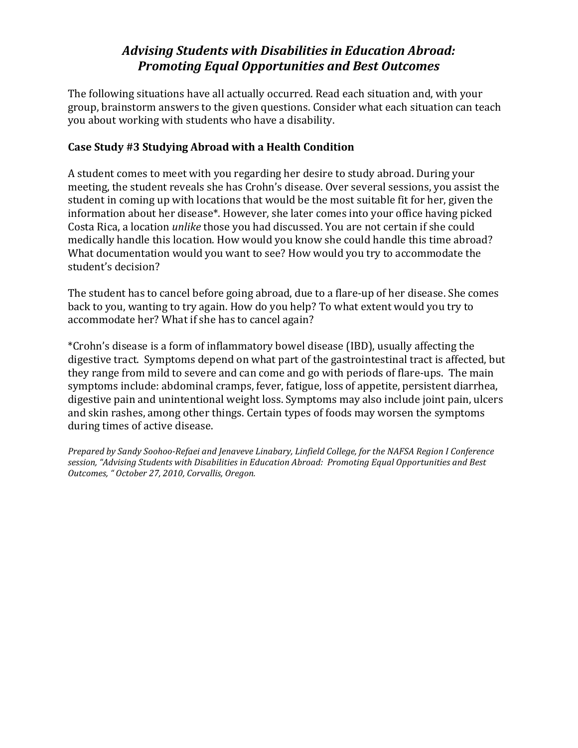The following situations have all actually occurred. Read each situation and, with your group, brainstorm answers to the given questions. Consider what each situation can teach you about working with students who have a disability.

### **Case Study #3 Studying Abroad with a Health Condition**

A student comes to meet with you regarding her desire to study abroad. During your meeting, the student reveals she has Crohn's disease. Over several sessions, you assist the student in coming up with locations that would be the most suitable fit for her, given the information about her disease\*. However, she later comes into your office having picked Costa Rica, a location *unlike* those you had discussed. You are not certain if she could medically handle this location. How would you know she could handle this time abroad? What documentation would you want to see? How would you try to accommodate the student's decision?

The student has to cancel before going abroad, due to a flare-up of her disease. She comes back to you, wanting to try again. How do you help? To what extent would you try to accommodate her? What if she has to cancel again?

\*Crohn's disease is a form of inflammatory bowel disease (IBD), usually affecting the digestive tract. Symptoms depend on what part of the gastrointestinal tract is affected, but they range from mild to severe and can come and go with periods of flare-ups. The main symptoms include: abdominal cramps, fever, fatigue, loss of appetite, persistent diarrhea, digestive pain and unintentional weight loss. Symptoms may also include joint pain, ulcers and skin rashes, among other things. Certain types of foods may worsen the symptoms during times of active disease.

*Prepared by Sandy Soohoo-Refaei and Jenaveve Linabary, Linfield College, for the NAFSA Region I Conference session, "Advising Students with Disabilities in Education Abroad: Promoting Equal Opportunities and Best Outcomes, " October 27, 2010, Corvallis, Oregon.*